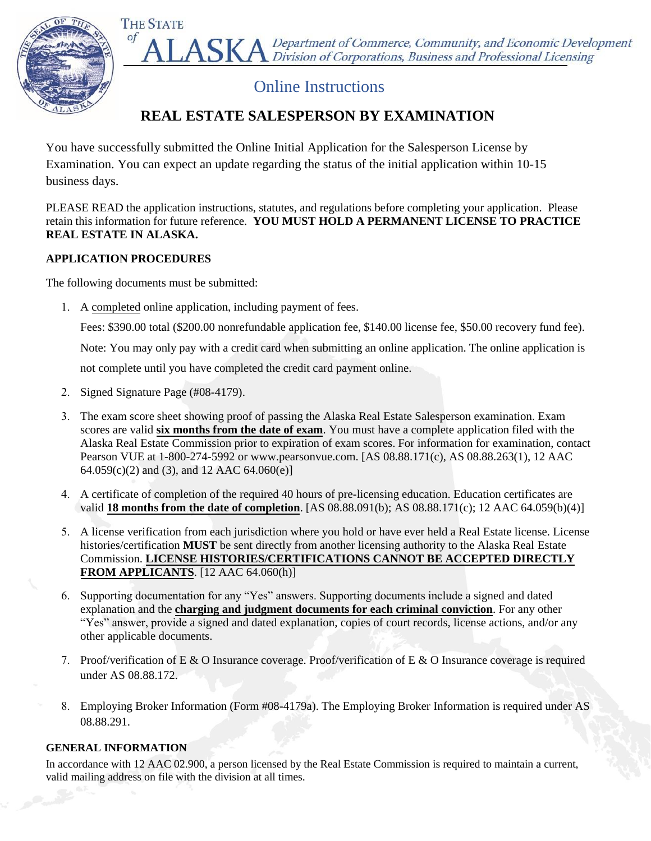

△ Department of Commerce, Community, and Economic Development Division of Corporations, Business and Professional Licensing

# Online Instructions

## **REAL ESTATE SALESPERSON BY EXAMINATION**

You have successfully submitted the Online Initial Application for the Salesperson License by Examination. You can expect an update regarding the status of the initial application within 10-15 business days.

PLEASE READ the application instructions, statutes, and regulations before completing your application. Please retain this information for future reference. **YOU MUST HOLD A PERMANENT LICENSE TO PRACTICE REAL ESTATE IN ALASKA.**

### **APPLICATION PROCEDURES**

of

The following documents must be submitted:

1. A completed online application, including payment of fees.

Fees: \$390.00 total (\$200.00 nonrefundable application fee, \$140.00 license fee, \$50.00 recovery fund fee).

Note: You may only pay with a credit card when submitting an online application. The online application is

not complete until you have completed the credit card payment online.

- 2. Signed Signature Page (#08-4179).
- 3. The exam score sheet showing proof of passing the Alaska Real Estate Salesperson examination. Exam scores are valid **six months from the date of exam**. You must have a complete application filed with the Alaska Real Estate Commission prior to expiration of exam scores. For information for examination, contact Pearson VUE at 1-800-274-5992 or www.pearsonvue.com. [AS 08.88.171(c), AS 08.88.263(1), 12 AAC 64.059(c)(2) and (3), and 12 AAC 64.060(e)]
- 4. A certificate of completion of the required 40 hours of pre-licensing education. Education certificates are valid **18 months from the date of completion**. [AS 08.88.091(b); AS 08.88.171(c); 12 AAC 64.059(b)(4)]
- 5. A license verification from each jurisdiction where you hold or have ever held a Real Estate license. License histories/certification **MUST** be sent directly from another licensing authority to the Alaska Real Estate Commission. **LICENSE HISTORIES/CERTIFICATIONS CANNOT BE ACCEPTED DIRECTLY FROM APPLICANTS**. [12 AAC 64.060(h)]
- 6. Supporting documentation for any "Yes" answers. Supporting documents include a signed and dated explanation and the **charging and judgment documents for each criminal conviction**. For any other "Yes" answer, provide a signed and dated explanation, copies of court records, license actions, and/or any other applicable documents.
- 7. Proof/verification of E & O Insurance coverage. Proof/verification of E & O Insurance coverage is required under AS 08.88.172.
- 8. Employing Broker Information (Form #08-4179a). The Employing Broker Information is required under AS 08.88.291.

## **GENERAL INFORMATION**

In accordance with 12 AAC 02.900, a person licensed by the Real Estate Commission is required to maintain a current, valid mailing address on file with the division at all times.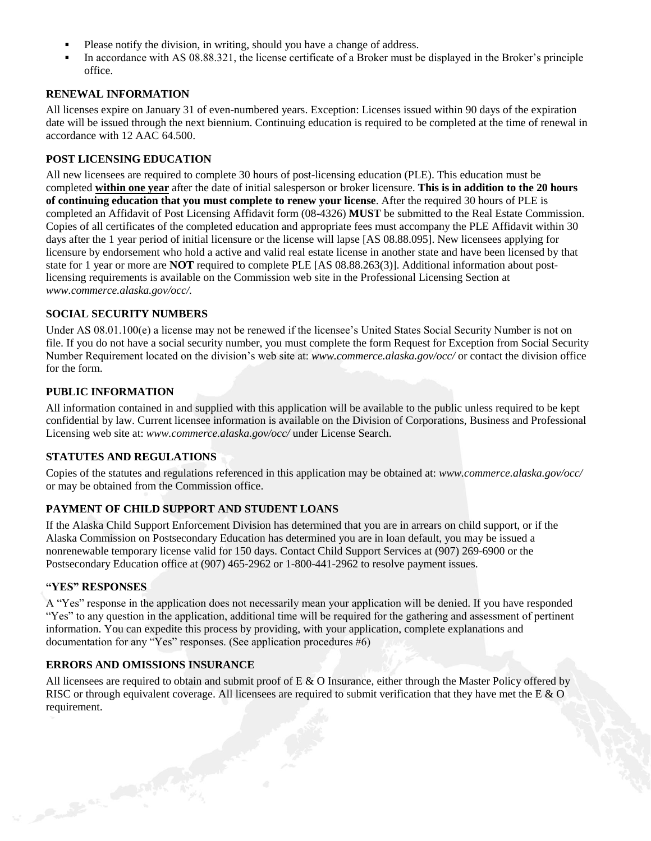- **▪** Please notify the division, in writing, should you have a change of address.
- **▪** In accordance with AS 08.88.321, the license certificate of a Broker must be displayed in the Broker's principle office.

#### **RENEWAL INFORMATION**

All licenses expire on January 31 of even-numbered years. Exception: Licenses issued within 90 days of the expiration date will be issued through the next biennium. Continuing education is required to be completed at the time of renewal in accordance with 12 AAC 64.500.

#### **POST LICENSING EDUCATION**

All new licensees are required to complete 30 hours of post-licensing education (PLE). This education must be completed **within one year** after the date of initial salesperson or broker licensure. **This is in addition to the 20 hours of continuing education that you must complete to renew your license**. After the required 30 hours of PLE is completed an Affidavit of Post Licensing Affidavit form (08-4326) **MUST** be submitted to the Real Estate Commission. Copies of all certificates of the completed education and appropriate fees must accompany the PLE Affidavit within 30 days after the 1 year period of initial licensure or the license will lapse [AS 08.88.095]. New licensees applying for licensure by endorsement who hold a active and valid real estate license in another state and have been licensed by that state for 1 year or more are **NOT** required to complete PLE [AS 08.88.263(3)]. Additional information about postlicensing requirements is available on the Commission web site in the Professional Licensing Section at *www.commerce.alaska.gov/occ/.* 

#### **SOCIAL SECURITY NUMBERS**

Under AS 08.01.100(e) a license may not be renewed if the licensee's United States Social Security Number is not on file. If you do not have a social security number, you must complete the form Request for Exception from Social Security Number Requirement located on the division's web site at: *www.commerce.alaska.gov/occ/* or contact the division office for the form.

#### **PUBLIC INFORMATION**

All information contained in and supplied with this application will be available to the public unless required to be kept confidential by law. Current licensee information is available on the Division of Corporations, Business and Professional Licensing web site at: *www.commerce.alaska.gov/occ/* under License Search.

#### **STATUTES AND REGULATIONS**

Copies of the statutes and regulations referenced in this application may be obtained at: *www.commerce.alaska.gov/occ/*  or may be obtained from the Commission office.

#### **PAYMENT OF CHILD SUPPORT AND STUDENT LOANS**

If the Alaska Child Support Enforcement Division has determined that you are in arrears on child support, or if the Alaska Commission on Postsecondary Education has determined you are in loan default, you may be issued a nonrenewable temporary license valid for 150 days. Contact Child Support Services at (907) 269-6900 or the Postsecondary Education office at (907) 465-2962 or 1-800-441-2962 to resolve payment issues.

#### **"YES" RESPONSES**

Constitution of the Constitution

A "Yes" response in the application does not necessarily mean your application will be denied. If you have responded "Yes" to any question in the application, additional time will be required for the gathering and assessment of pertinent information. You can expedite this process by providing, with your application, complete explanations and documentation for any "Yes" responses. (See application procedures #6)

#### **ERRORS AND OMISSIONS INSURANCE**

All licensees are required to obtain and submit proof of  $E \& O$  Insurance, either through the Master Policy offered by RISC or through equivalent coverage. All licensees are required to submit verification that they have met the E & O requirement.